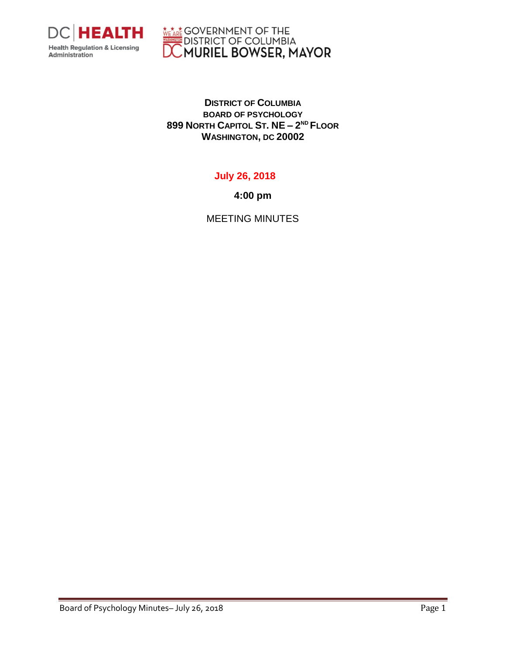

**WEARE GOVERNMENT OF THE DISTRICT OF COLUMBIA**<br>DISTRICT OF COLUMBIA<br>**DC MURIEL BOWSER, MAYOR** 

**DISTRICT OF COLUMBIA BOARD OF PSYCHOLOGY 899 NORTH CAPITOL ST. NE – 2 ND FLOOR WASHINGTON, DC 20002**

## **July 26, 2018**

**4:00 pm**

MEETING MINUTES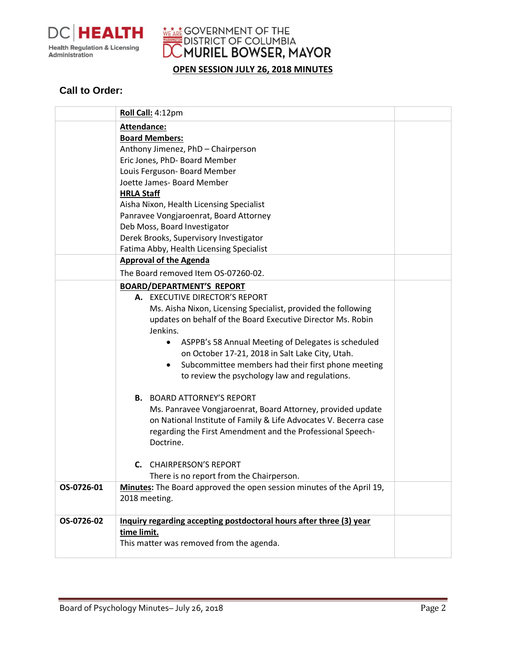

WEARE GOVERNMENT OF THE **DISTRICT OF COLUMBIA**<br>C**MURIEL BOWSER, MAYOR** 

**OPEN SESSION JULY 26, 2018 MINUTES**

## **Call to Order:**

|            | Roll Call: 4:12pm                                                                                                                                                                                                                                                                                                                                                                                                                                                                                                                                                                                                                                                                               |  |
|------------|-------------------------------------------------------------------------------------------------------------------------------------------------------------------------------------------------------------------------------------------------------------------------------------------------------------------------------------------------------------------------------------------------------------------------------------------------------------------------------------------------------------------------------------------------------------------------------------------------------------------------------------------------------------------------------------------------|--|
|            | Attendance:<br><b>Board Members:</b><br>Anthony Jimenez, PhD - Chairperson<br>Eric Jones, PhD- Board Member<br>Louis Ferguson- Board Member<br>Joette James- Board Member<br><b>HRLA Staff</b><br>Aisha Nixon, Health Licensing Specialist<br>Panravee Vongjaroenrat, Board Attorney<br>Deb Moss, Board Investigator<br>Derek Brooks, Supervisory Investigator<br>Fatima Abby, Health Licensing Specialist                                                                                                                                                                                                                                                                                      |  |
|            | <b>Approval of the Agenda</b>                                                                                                                                                                                                                                                                                                                                                                                                                                                                                                                                                                                                                                                                   |  |
|            | The Board removed Item OS-07260-02.                                                                                                                                                                                                                                                                                                                                                                                                                                                                                                                                                                                                                                                             |  |
|            | <b>BOARD/DEPARTMENT'S REPORT</b><br>A. EXECUTIVE DIRECTOR'S REPORT<br>Ms. Aisha Nixon, Licensing Specialist, provided the following<br>updates on behalf of the Board Executive Director Ms. Robin<br>Jenkins.<br>ASPPB's 58 Annual Meeting of Delegates is scheduled<br>$\bullet$<br>on October 17-21, 2018 in Salt Lake City, Utah.<br>Subcommittee members had their first phone meeting<br>$\bullet$<br>to review the psychology law and regulations.<br><b>B.</b> BOARD ATTORNEY'S REPORT<br>Ms. Panravee Vongjaroenrat, Board Attorney, provided update<br>on National Institute of Family & Life Advocates V. Becerra case<br>regarding the First Amendment and the Professional Speech- |  |
|            | Doctrine.<br><b>C.</b> CHAIRPERSON'S REPORT                                                                                                                                                                                                                                                                                                                                                                                                                                                                                                                                                                                                                                                     |  |
| OS-0726-01 | There is no report from the Chairperson.<br>Minutes: The Board approved the open session minutes of the April 19,                                                                                                                                                                                                                                                                                                                                                                                                                                                                                                                                                                               |  |
|            | 2018 meeting.                                                                                                                                                                                                                                                                                                                                                                                                                                                                                                                                                                                                                                                                                   |  |
| OS-0726-02 | Inquiry regarding accepting postdoctoral hours after three (3) year<br>time limit.<br>This matter was removed from the agenda.                                                                                                                                                                                                                                                                                                                                                                                                                                                                                                                                                                  |  |